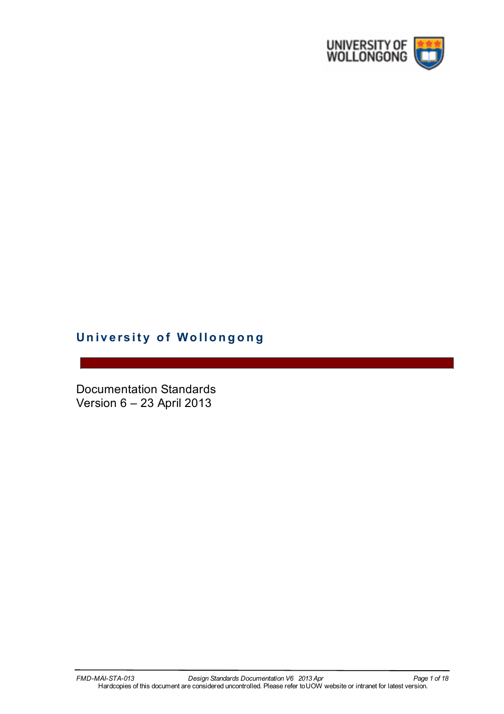

# **Un i v e rs it y o f Wo l lo n g o n g**

Documentation Standards Version 6 – 23 April 2013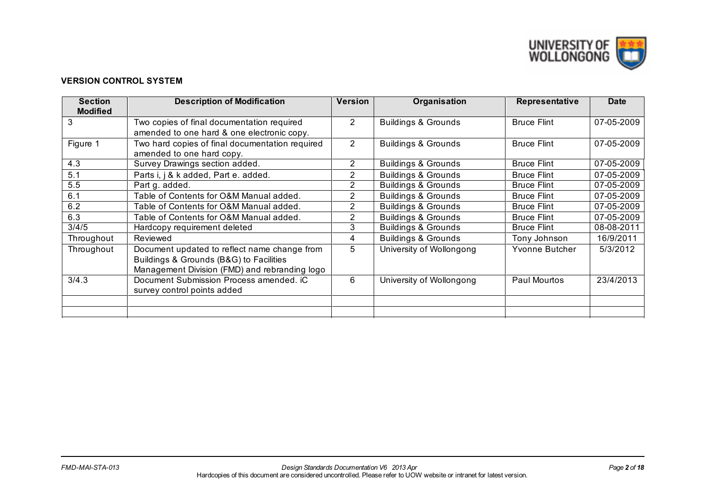

### **VERSION CONTROL SYSTEM**

| <b>Section</b><br><b>Modified</b> | <b>Description of Modification</b>                                                                                                       | <b>Version</b> | Organisation                   | Representative     | <b>Date</b> |
|-----------------------------------|------------------------------------------------------------------------------------------------------------------------------------------|----------------|--------------------------------|--------------------|-------------|
| 3                                 | Two copies of final documentation required<br>amended to one hard & one electronic copy.                                                 | $\overline{2}$ | <b>Buildings &amp; Grounds</b> | <b>Bruce Flint</b> | 07-05-2009  |
| Figure 1                          | Two hard copies of final documentation required<br>amended to one hard copy.                                                             | $\overline{2}$ | <b>Buildings &amp; Grounds</b> | <b>Bruce Flint</b> | 07-05-2009  |
| 4.3                               | Survey Drawings section added.                                                                                                           | 2              | <b>Buildings &amp; Grounds</b> | <b>Bruce Flint</b> | 07-05-2009  |
| 5.1                               | Parts i, j & k added, Part e. added.                                                                                                     | $\overline{2}$ | <b>Buildings &amp; Grounds</b> | <b>Bruce Flint</b> | 07-05-2009  |
| 5.5                               | Part g. added.                                                                                                                           | $\overline{2}$ | <b>Buildings &amp; Grounds</b> | <b>Bruce Flint</b> | 07-05-2009  |
| 6.1                               | Table of Contents for O&M Manual added.                                                                                                  | $\overline{2}$ | <b>Buildings &amp; Grounds</b> | <b>Bruce Flint</b> | 07-05-2009  |
| 6.2                               | Table of Contents for O&M Manual added.                                                                                                  | 2              | <b>Buildings &amp; Grounds</b> | <b>Bruce Flint</b> | 07-05-2009  |
| 6.3                               | Table of Contents for O&M Manual added.                                                                                                  | $\overline{2}$ | <b>Buildings &amp; Grounds</b> | <b>Bruce Flint</b> | 07-05-2009  |
| 3/4/5                             | Hardcopy requirement deleted                                                                                                             | 3              | <b>Buildings &amp; Grounds</b> | <b>Bruce Flint</b> | 08-08-2011  |
| Throughout                        | Reviewed                                                                                                                                 | 4              | <b>Buildings &amp; Grounds</b> | Tony Johnson       | 16/9/2011   |
| Throughout                        | Document updated to reflect name change from<br>Buildings & Grounds (B&G) to Facilities<br>Management Division (FMD) and rebranding logo | 5              | University of Wollongong       | Yvonne Butcher     | 5/3/2012    |
| 3/4.3                             | Document Submission Process amended. iC<br>survey control points added                                                                   | 6              | University of Wollongong       | Paul Mourtos       | 23/4/2013   |
|                                   |                                                                                                                                          |                |                                |                    |             |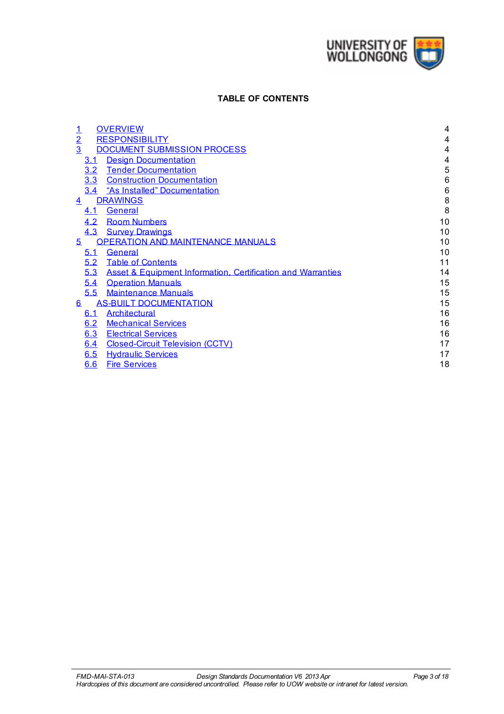

# **TABLE OF CONTENTS**

|            |                                  | 4                                                                                                                                                                                                                                                                                                                                                                                                                                                                                                                                                                                                                          |
|------------|----------------------------------|----------------------------------------------------------------------------------------------------------------------------------------------------------------------------------------------------------------------------------------------------------------------------------------------------------------------------------------------------------------------------------------------------------------------------------------------------------------------------------------------------------------------------------------------------------------------------------------------------------------------------|
|            |                                  | 4                                                                                                                                                                                                                                                                                                                                                                                                                                                                                                                                                                                                                          |
|            |                                  | 4                                                                                                                                                                                                                                                                                                                                                                                                                                                                                                                                                                                                                          |
| 3.1        | <b>Design Documentation</b>      | 4                                                                                                                                                                                                                                                                                                                                                                                                                                                                                                                                                                                                                          |
| 3.2        | <b>Tender Documentation</b>      | 5                                                                                                                                                                                                                                                                                                                                                                                                                                                                                                                                                                                                                          |
|            |                                  | 6                                                                                                                                                                                                                                                                                                                                                                                                                                                                                                                                                                                                                          |
|            |                                  | 6                                                                                                                                                                                                                                                                                                                                                                                                                                                                                                                                                                                                                          |
|            |                                  | 8                                                                                                                                                                                                                                                                                                                                                                                                                                                                                                                                                                                                                          |
| 4.1        | General                          | 8                                                                                                                                                                                                                                                                                                                                                                                                                                                                                                                                                                                                                          |
| 4.2        |                                  | 10                                                                                                                                                                                                                                                                                                                                                                                                                                                                                                                                                                                                                         |
| 4.3        | <b>Survey Drawings</b>           | 10                                                                                                                                                                                                                                                                                                                                                                                                                                                                                                                                                                                                                         |
|            |                                  | 10                                                                                                                                                                                                                                                                                                                                                                                                                                                                                                                                                                                                                         |
|            | General                          | 10                                                                                                                                                                                                                                                                                                                                                                                                                                                                                                                                                                                                                         |
|            |                                  | 11                                                                                                                                                                                                                                                                                                                                                                                                                                                                                                                                                                                                                         |
|            |                                  | 14                                                                                                                                                                                                                                                                                                                                                                                                                                                                                                                                                                                                                         |
|            |                                  | 15                                                                                                                                                                                                                                                                                                                                                                                                                                                                                                                                                                                                                         |
|            |                                  | 15                                                                                                                                                                                                                                                                                                                                                                                                                                                                                                                                                                                                                         |
|            |                                  | 15                                                                                                                                                                                                                                                                                                                                                                                                                                                                                                                                                                                                                         |
|            |                                  | 16                                                                                                                                                                                                                                                                                                                                                                                                                                                                                                                                                                                                                         |
|            |                                  | 16                                                                                                                                                                                                                                                                                                                                                                                                                                                                                                                                                                                                                         |
|            |                                  | 16                                                                                                                                                                                                                                                                                                                                                                                                                                                                                                                                                                                                                         |
| <u>6.4</u> |                                  | 17                                                                                                                                                                                                                                                                                                                                                                                                                                                                                                                                                                                                                         |
|            |                                  | 17                                                                                                                                                                                                                                                                                                                                                                                                                                                                                                                                                                                                                         |
|            |                                  | 18                                                                                                                                                                                                                                                                                                                                                                                                                                                                                                                                                                                                                         |
|            | $5^{\circ}$<br>6.2<br>6.5<br>6.6 | <b>OVERVIEW</b><br><b>RESPONSIBILITY</b><br><b>DOCUMENT SUBMISSION PROCESS</b><br>3.3 Construction Documentation<br>3.4 "As Installed" Documentation<br><b>DRAWINGS</b><br><b>Room Numbers</b><br><b>OPERATION AND MAINTENANCE MANUALS</b><br>5.1<br>5.2 Table of Contents<br>5.3 Asset & Equipment Information, Certification and Warranties<br>5.4 Operation Manuals<br>5.5 Maintenance Manuals<br><b>AS-BUILT DOCUMENTATION</b><br><b>Architectural</b><br>6.1<br><b>Mechanical Services</b><br>6.3 Electrical Services<br><b>Closed-Circuit Television (CCTV)</b><br><b>Hydraulic Services</b><br><b>Fire Services</b> |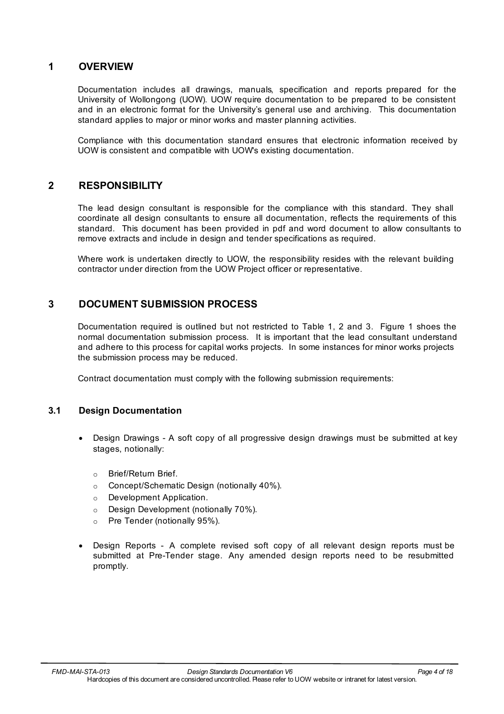# **1 OVERVIEW**

<span id="page-3-0"></span>Documentation includes all drawings, manuals, specification and reports prepared for the University of Wollongong (UOW). UOW require documentation to be prepared to be consistent and in an electronic format for the University's general use and archiving. This documentation standard applies to major or minor works and master planning activities.

Compliance with this documentation standard ensures that electronic information received by UOW is consistent and compatible with UOW's existing documentation.

### **2 RESPONSIBILITY**

<span id="page-3-1"></span>The lead design consultant is responsible for the compliance with this standard. They shall coordinate all design consultants to ensure all documentation, reflects the requirements of this standard. This document has been provided in pdf and word document to allow consultants to remove extracts and include in design and tender specifications as required.

Where work is undertaken directly to UOW, the responsibility resides with the relevant building contractor under direction from the UOW Project officer or representative.

### **3 DOCUMENT SUBMISSION PROCESS**

<span id="page-3-2"></span>Documentation required is outlined but not restricted to Table 1, 2 and 3. Figure 1 shoes the normal documentation submission process. It is important that the lead consultant understand and adhere to this process for capital works projects. In some instances for minor works projects the submission process may be reduced.

<span id="page-3-3"></span>Contract documentation must comply with the following submission requirements:

#### **3.1 Design Documentation**

- Design Drawings A soft copy of all progressive design drawings must be submitted at key stages, notionally:
	- o Brief/Return Brief.
	- o Concept/Schematic Design (notionally 40%).
	- o Development Application.
	- o Design Development (notionally 70%).
	- o Pre Tender (notionally 95%).
- Design Reports A complete revised soft copy of all relevant design reports must be submitted at Pre-Tender stage. Any amended design reports need to be resubmitted promptly.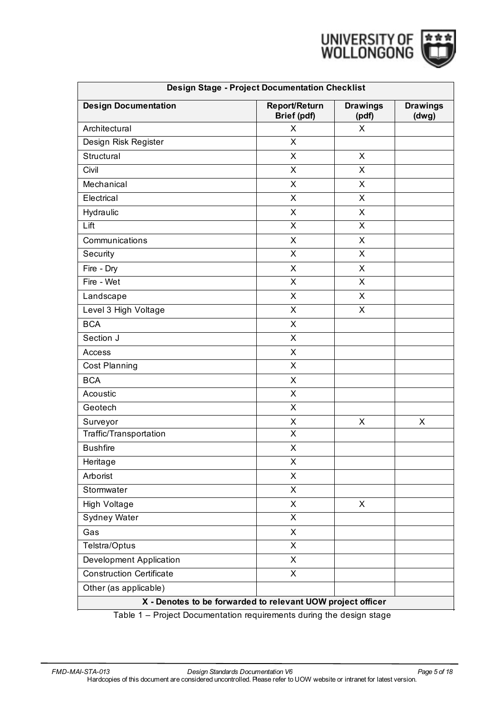

| Design Stage - Project Documentation Checklist              |                              |                          |                          |  |
|-------------------------------------------------------------|------------------------------|--------------------------|--------------------------|--|
| <b>Design Documentation</b>                                 | Report/Return<br>Brief (pdf) | <b>Drawings</b><br>(pdf) | <b>Drawings</b><br>(dwg) |  |
| Architectural                                               | $\sf X$                      | X                        |                          |  |
| Design Risk Register                                        | X                            |                          |                          |  |
| Structural                                                  | X                            | X                        |                          |  |
| Civil                                                       | X                            | X                        |                          |  |
| Mechanical                                                  | X                            | X                        |                          |  |
| Electrical                                                  | X                            | X                        |                          |  |
| Hydraulic                                                   | X                            | X                        |                          |  |
| Lift                                                        | X                            | X                        |                          |  |
| Communications                                              | X                            | X                        |                          |  |
| Security                                                    | X                            | X                        |                          |  |
| Fire - Dry                                                  | X                            | X                        |                          |  |
| Fire - Wet                                                  | X                            | X                        |                          |  |
| Landscape                                                   | X                            | X                        |                          |  |
| Level 3 High Voltage                                        | $\boldsymbol{\mathsf{X}}$    | X                        |                          |  |
| <b>BCA</b>                                                  | X                            |                          |                          |  |
| Section J                                                   | X                            |                          |                          |  |
| Access                                                      | X                            |                          |                          |  |
| Cost Planning                                               | $\boldsymbol{\mathsf{X}}$    |                          |                          |  |
| <b>BCA</b>                                                  | X                            |                          |                          |  |
| Acoustic                                                    | X                            |                          |                          |  |
| Geotech                                                     | $\boldsymbol{\mathsf{X}}$    |                          |                          |  |
| Surveyor                                                    | X                            | X                        | X                        |  |
| Traffic/Transportation                                      | $\pmb{\times}$               |                          |                          |  |
| <b>Bushfire</b>                                             | X                            |                          |                          |  |
| Heritage                                                    | X                            |                          |                          |  |
| Arborist                                                    | X                            |                          |                          |  |
| Stormwater                                                  | $\pmb{\times}$               |                          |                          |  |
| <b>High Voltage</b>                                         | X                            | X                        |                          |  |
| Sydney Water                                                | $\mathsf{x}$                 |                          |                          |  |
| Gas                                                         | X                            |                          |                          |  |
| Telstra/Optus                                               | $\pmb{\times}$               |                          |                          |  |
| Development Application                                     | $\pmb{\times}$               |                          |                          |  |
| <b>Construction Certificate</b>                             | $\mathsf X$                  |                          |                          |  |
| Other (as applicable)                                       |                              |                          |                          |  |
| X - Denotes to be forwarded to relevant UOW project officer |                              |                          |                          |  |

Table 1 – Project Documentation requirements during the design stage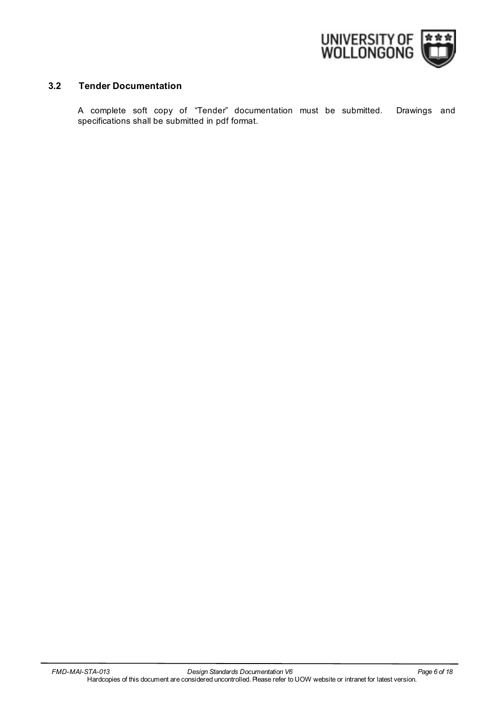

### <span id="page-5-0"></span>**3.2 Tender Documentation**

A complete soft copy of "Tender" documentation must be submitted. Drawings and specifications shall be submitted in pdf format.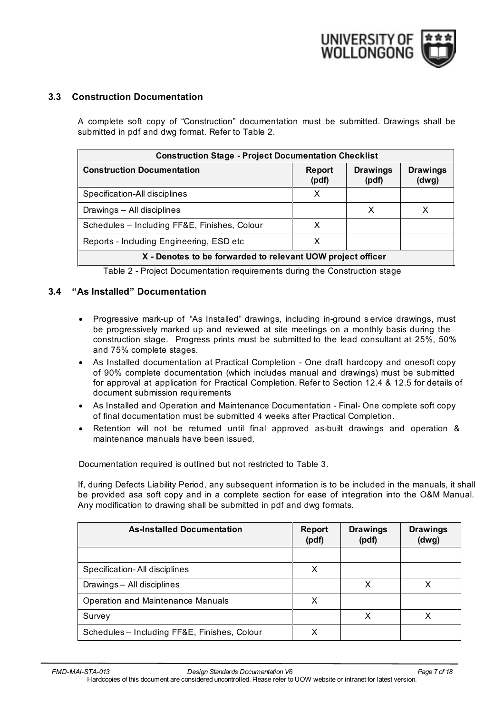

### <span id="page-6-0"></span>**3.3 Construction Documentation**

A complete soft copy of "Construction" documentation must be submitted. Drawings shall be submitted in pdf and dwg format. Refer to Table 2.

| <b>Construction Stage - Project Documentation Checklist</b> |                        |                          |                          |
|-------------------------------------------------------------|------------------------|--------------------------|--------------------------|
| <b>Construction Documentation</b>                           | <b>Report</b><br>(pdf) | <b>Drawings</b><br>(pdf) | <b>Drawings</b><br>(dwg) |
| Specification-All disciplines                               | X                      |                          |                          |
| Drawings - All disciplines                                  |                        | х                        |                          |
| Schedules - Including FF&E, Finishes, Colour                | X                      |                          |                          |
| x<br>Reports - Including Engineering, ESD etc               |                        |                          |                          |
| X - Denotes to be forwarded to relevant UOW project officer |                        |                          |                          |

Table 2 - Project Documentation requirements during the Construction stage

#### <span id="page-6-1"></span>**3.4 "As Installed" Documentation**

- Progressive mark-up of "As Installed" drawings, including in-ground service drawings, must be progressively marked up and reviewed at site meetings on a monthly basis during the construction stage. Progress prints must be submitted to the lead consultant at 25%, 50% and 75% complete stages.
- As Installed documentation at Practical Completion One draft hardcopy and onesoft copy of 90% complete documentation (which includes manual and drawings) must be submitted for approval at application for Practical Completion. Refer to Section 12.4 & 12.5 for details of document submission requirements
- As Installed and Operation and Maintenance Documentation Final- One complete soft copy of final documentation must be submitted 4 weeks after Practical Completion.
- Retention will not be returned until final approved as-built drawings and operation & maintenance manuals have been issued.

Documentation required is outlined but not restricted to Table 3.

If, during Defects Liability Period, any subsequent information is to be included in the manuals, it shall be provided asa soft copy and in a complete section for ease of integration into the O&M Manual. Any modification to drawing shall be submitted in pdf and dwg formats.

| <b>As-Installed Documentation</b>            | <b>Report</b><br>(pdf) | <b>Drawings</b><br>(pdf) | <b>Drawings</b><br>(dwg) |
|----------------------------------------------|------------------------|--------------------------|--------------------------|
|                                              |                        |                          |                          |
| Specification-All disciplines                | х                      |                          |                          |
| Drawings - All disciplines                   |                        | X                        | х                        |
| Operation and Maintenance Manuals            | х                      |                          |                          |
| Survey                                       |                        | X                        | x                        |
| Schedules - Including FF&E, Finishes, Colour | x                      |                          |                          |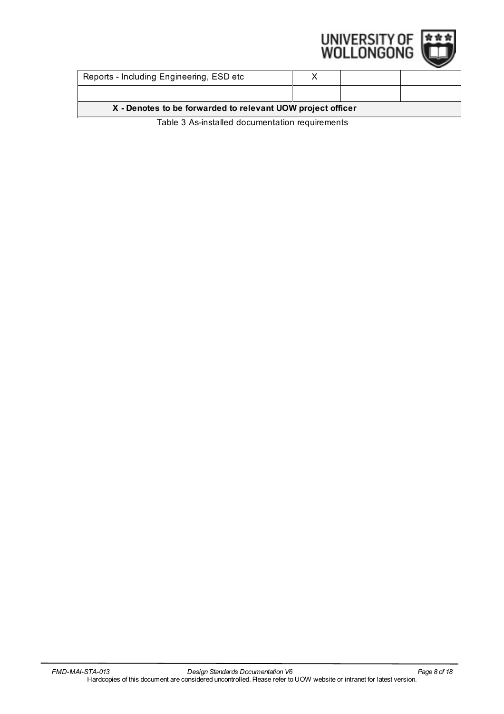

| Reports - Including Engineering, ESD etc                    |  |  |  |
|-------------------------------------------------------------|--|--|--|
|                                                             |  |  |  |
| X - Denotes to be forwarded to relevant UOW project officer |  |  |  |

Table 3 As-installed documentation requirements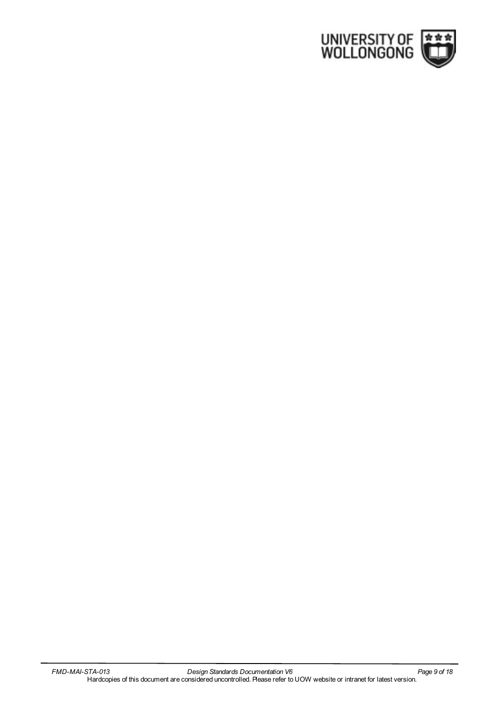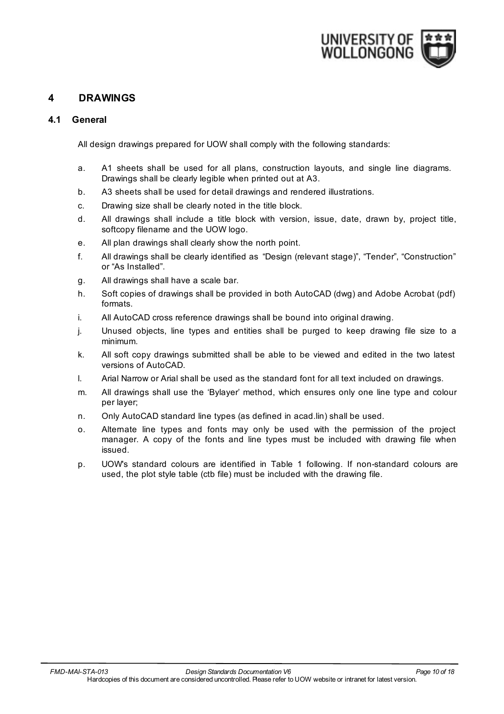

# <span id="page-9-0"></span>**4 DRAWINGS**

#### <span id="page-9-1"></span>**4.1 General**

All design drawings prepared for UOW shall comply with the following standards:

- a. A1 sheets shall be used for all plans, construction layouts, and single line diagrams. Drawings shall be clearly legible when printed out at A3.
- b. A3 sheets shall be used for detail drawings and rendered illustrations.
- c. Drawing size shall be clearly noted in the title block.
- d. All drawings shall include a title block with version, issue, date, drawn by, project title, softcopy filename and the UOW logo.
- e. All plan drawings shall clearly show the north point.
- f. All drawings shall be clearly identified as "Design (relevant stage)", "Tender", "Construction" or "As Installed".
- g. All drawings shall have a scale bar.
- h. Soft copies of drawings shall be provided in both AutoCAD (dwg) and Adobe Acrobat (pdf) formats.
- i. All AutoCAD cross reference drawings shall be bound into original drawing.
- j. Unused objects, line types and entities shall be purged to keep drawing file size to a minimum.
- k. All soft copy drawings submitted shall be able to be viewed and edited in the two latest versions of AutoCAD.
- l. Arial Narrow or Arial shall be used as the standard font for all text included on drawings.
- m. All drawings shall use the 'Bylayer' method, which ensures only one line type and colour per layer;
- n. Only AutoCAD standard line types (as defined in acad.lin) shall be used.
- o. Alternate line types and fonts may only be used with the permission of the project manager. A copy of the fonts and line types must be included with drawing file when issued.
- p. UOW's standard colours are identified in Table 1 following. If non-standard colours are used, the plot style table (ctb file) must be included with the drawing file.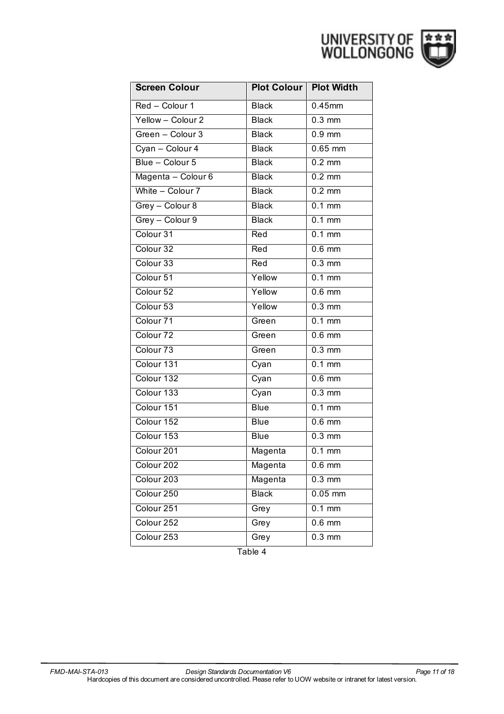| UNIVERSITY OF |  |
|---------------|--|
|---------------|--|

| <b>Screen Colour</b>  | <b>Plot Colour   Plot Width</b> |                             |
|-----------------------|---------------------------------|-----------------------------|
| Red - Colour 1        | <b>Black</b>                    | $0.45$ mm                   |
| Yellow - Colour 2     | <b>Black</b>                    | $0.3$ mm                    |
| Green - Colour 3      | <b>Black</b>                    | $0.9$ mm                    |
| Cyan - Colour 4       | <b>Black</b>                    | $0.65$ mm                   |
| Blue - Colour 5       | <b>Black</b>                    | $0.2$ mm                    |
| Magenta - Colour 6    | <b>Black</b>                    | $0.2$ mm                    |
| White $-$ Colour $7$  | <b>Black</b>                    | $0.2$ mm                    |
| Grey - Colour 8       | <b>Black</b>                    | $0.1$ mm                    |
| Grey - Colour 9       | <b>Black</b>                    | $0.1$ mm                    |
| Colour 31             | $\overline{\text{Red}}$         | $\overline{0.1 \text{ mm}}$ |
| Colour <sub>32</sub>  | Red                             | $0.6$ mm                    |
| Colour <sub>33</sub>  | Red                             | $0.3$ mm                    |
| Colour 51             | Yellow                          | $0.1$ mm                    |
| Colour <sub>52</sub>  | Yellow                          | $0.6$ mm                    |
| Colour <sub>53</sub>  | Yellow                          | $0.3$ mm                    |
| Colour <sub>71</sub>  | Green                           | $0.1$ mm                    |
| Colour <sub>72</sub>  | Green                           | $0.6$ mm                    |
| Colour <sub>73</sub>  | Green                           | $\overline{0.3}$ mm         |
| Colour 131            | Cyan                            | $0.1$ mm                    |
| Colour 132            | Cyan                            | $0.6$ mm                    |
| Colour 133            | Cyan                            | $0.3$ mm                    |
| Colour 151            | <b>Blue</b>                     | $0.1$ mm                    |
| Colour 152            | <b>Blue</b>                     | $0.6$ mm                    |
| Colour 153            | <b>Blue</b>                     | $\overline{0.3}$ mm         |
| Colour <sub>201</sub> | Magenta                         | $\overline{0.1}$ mm         |
| Colour 202            | Magenta                         | $0.6$ mm                    |
| Colour 203            | Magenta                         | $0.3$ mm                    |
| Colour <sub>250</sub> | <b>Black</b>                    | $0.05$ mm                   |
| Colour 251            | Grey                            | $0.1$ mm                    |
| Colour 252            | Grey                            | $0.6$ mm                    |
| Colour 253            | Grey                            | $0.3$ mm                    |

Table 4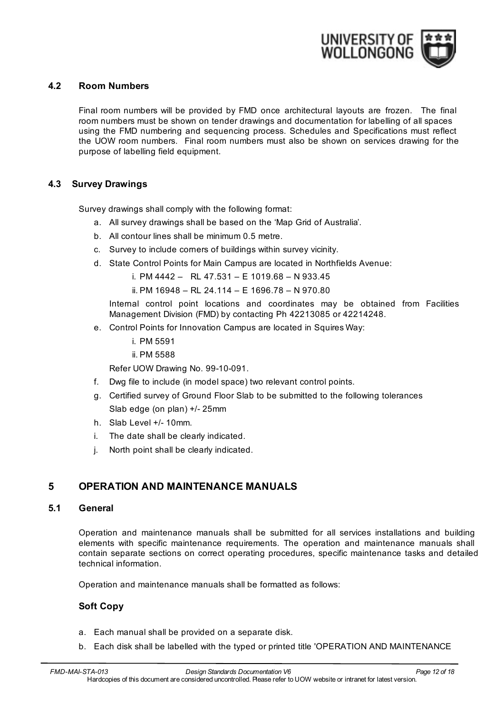

#### <span id="page-11-0"></span>**4.2 Room Numbers**

Final room numbers will be provided by FMD once architectural layouts are frozen. The final room numbers must be shown on tender drawings and documentation for labelling of all spaces using the FMD numbering and sequencing process. Schedules and Specifications must reflect the UOW room numbers. Final room numbers must also be shown on services drawing for the purpose of labelling field equipment.

#### <span id="page-11-1"></span>**4.3 Survey Drawings**

Survey drawings shall comply with the following format:

- a. All survey drawings shall be based on the 'Map Grid of Australia'.
- b. All contour lines shall be minimum 0.5 metre.
- c. Survey to include corners of buildings within survey vicinity.
- d. State Control Points for Main Campus are located in Northfields Avenue:

i. PM 4442 – RL 47.531 – E 1019.68 – N 933.45

ii. PM 16948 – RL 24.114 – E 1696.78 – N 970.80

Internal control point locations and coordinates may be obtained from Facilities Management Division (FMD) by contacting Ph 42213085 or 42214248.

- e. Control Points for Innovation Campus are located in Squires Way:
	- i. PM 5591
	- ii. PM 5588

Refer UOW Drawing No. 99-10-091.

- f. Dwg file to include (in model space) two relevant control points.
- g. Certified survey of Ground Floor Slab to be submitted to the following tolerances Slab edge (on plan) +/- 25mm
- h. Slab Level +/- 10mm.
- i. The date shall be clearly indicated.
- <span id="page-11-2"></span>j. North point shall be clearly indicated.

### **5 OPERATION AND MAINTENANCE MANUALS**

#### <span id="page-11-3"></span>**5.1 General**

Operation and maintenance manuals shall be submitted for all services installations and building elements with specific maintenance requirements. The operation and maintenance manuals shall contain separate sections on correct operating procedures, specific maintenance tasks and detailed technical information.

Operation and maintenance manuals shall be formatted as follows:

#### **Soft Copy**

- a. Each manual shall be provided on a separate disk.
- b. Each disk shall be labelled with the typed or printed title 'OPERATION AND MAINTENANCE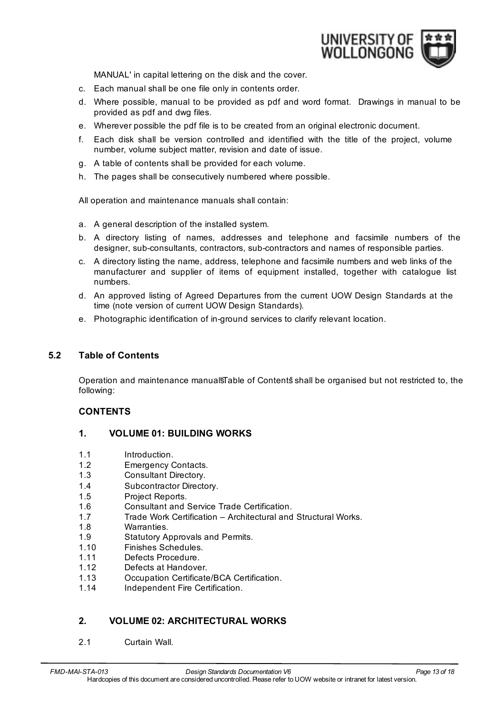

MANUAL' in capital lettering on the disk and the cover.

- c. Each manual shall be one file only in contents order.
- d. Where possible, manual to be provided as pdf and word format. Drawings in manual to be provided as pdf and dwg files.
- e. Wherever possible the pdf file is to be created from an original electronic document.
- f. Each disk shall be version controlled and identified with the title of the project, volume number, volume subject matter, revision and date of issue.
- g. A table of contents shall be provided for each volume.
- h. The pages shall be consecutively numbered where possible.

All operation and maintenance manuals shall contain:

- a. A general description of the installed system.
- b. A directory listing of names, addresses and telephone and facsimile numbers of the designer, sub-consultants, contractors, sub-contractors and names of responsible parties.
- c. A directory listing the name, address, telephone and facsimile numbers and web links of the manufacturer and supplier of items of equipment installed, together with catalogue list numbers.
- d. An approved listing of Agreed Departures from the current UOW Design Standards at the time (note version of current UOW Design Standards).
- <span id="page-12-0"></span>e. Photographic identification of in-ground services to clarify relevant location.

# **5.2 Table of Contents**

Operation and maintenance manual STable of Contents shall be organised but not restricted to, the following:

### **CONTENTS**

### **1. VOLUME 01: BUILDING WORKS**

- 1.1 Introduction.
- 1.2 Emergency Contacts.
- 1.3 Consultant Directory.
- 1.4 Subcontractor Directory.
- 1.5 Project Reports.
- 1.6 Consultant and Service Trade Certification.
- 1.7 Trade Work Certification Architectural and Structural Works.
- 1.8 Warranties.
- 1.9 Statutory Approvals and Permits.
- 1.10 Finishes Schedules.
- 1.11 Defects Procedure.
- 1.12 Defects at Handover.
- 1.13 Occupation Certificate/BCA Certification.
- 1.14 Independent Fire Certification.

# **2. VOLUME 02: ARCHITECTURAL WORKS**

2.1 Curtain Wall.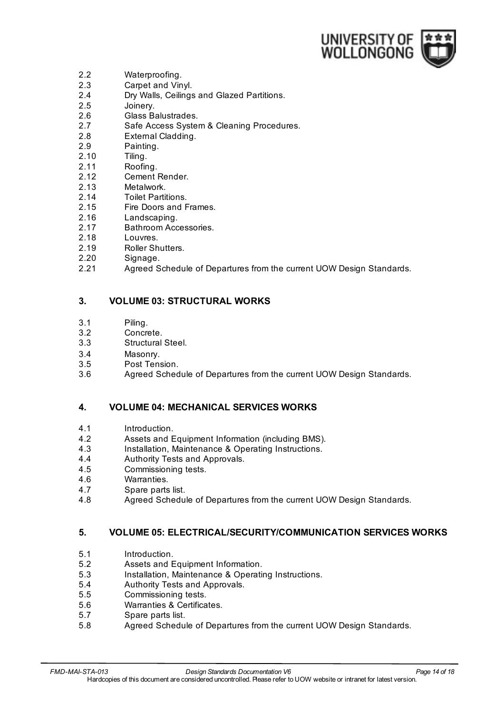

- 2.2 Waterproofing.
- 2.3 Carpet and Vinyl.
- 2.4 Dry Walls, Ceilings and Glazed Partitions.
- 2.5 Joinery.
- 2.6 Glass Balustrades.
- 2.7 Safe Access System & Cleaning Procedures.
- 2.8 External Cladding.
- 2.9 Painting.<br>2.10 Tiling.
- Tiling.
- 2.11 Roofing.
- 2.12 Cement Render.
- 2.13 Metalwork.
- 2.14 Toilet Partitions.
- 2.15 Fire Doors and Frames.
- 2.16 Landscaping.
- 2.17 Bathroom Accessories.
- 2.18 Louvres.
- 2.19 Roller Shutters.
- 2.20 Signage.
- 2.21 Agreed Schedule of Departures from the current UOW Design Standards.

# **3. VOLUME 03: STRUCTURAL WORKS**

- 3.1 Piling.
- 3.2 Concrete.
- 3.3 Structural Steel.
- 3.4 Masonry.
- 3.5 Post Tension.
- 3.6 Agreed Schedule of Departures from the current UOW Design Standards.

# **4. VOLUME 04: MECHANICAL SERVICES WORKS**

- 4.1 Introduction.
- 4.2 Assets and Equipment Information (including BMS).
- 4.3 Installation, Maintenance & Operating Instructions.
- 4.4 Authority Tests and Approvals.
- 4.5 Commissioning tests.
- 4.6 Warranties.
- 4.7 Spare parts list.
- 4.8 Agreed Schedule of Departures from the current UOW Design Standards.

# **5. VOLUME 05: ELECTRICAL/SECURITY/COMMUNICATION SERVICES WORKS**

- 5.1 Introduction.
- 5.2 Assets and Equipment Information.
- 5.3 Installation, Maintenance & Operating Instructions.
- 5.4 Authority Tests and Approvals.
- 5.5 Commissioning tests.
- 5.6 Warranties & Certificates.
- 5.7 Spare parts list.
- 5.8 Agreed Schedule of Departures from the current UOW Design Standards.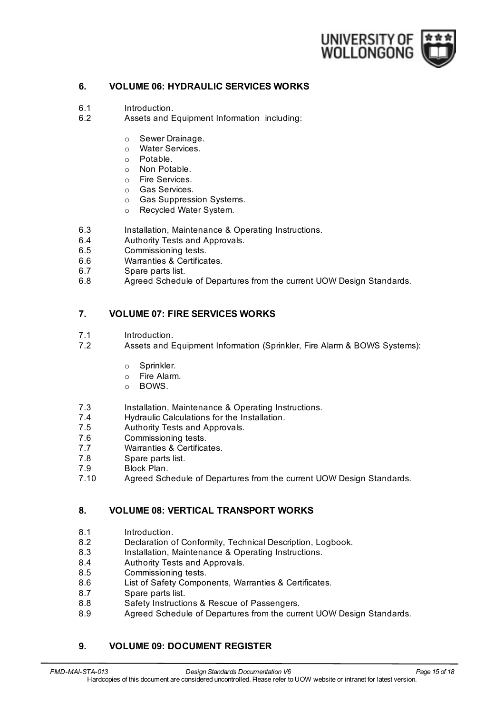

# **6. VOLUME 06: HYDRAULIC SERVICES WORKS**

- 6.1 Introduction.
- 6.2 Assets and Equipment Information including:
	- o Sewer Drainage.
	- o Water Services.
	- o Potable.
	- o Non Potable.
	- o Fire Services.
	- o Gas Services.
	- o Gas Suppression Systems.
	- o Recycled Water System.
- 6.3 Installation, Maintenance & Operating Instructions.
- 6.4 Authority Tests and Approvals.
- 6.5 Commissioning tests.
- 6.6 Warranties & Certificates.
- 6.7 Spare parts list.
- 6.8 Agreed Schedule of Departures from the current UOW Design Standards.

# **7. VOLUME 07: FIRE SERVICES WORKS**

- 7.1 Introduction.
- 7.2 Assets and Equipment Information (Sprinkler, Fire Alarm & BOWS Systems):
	- o Sprinkler.
	- o Fire Alarm.
	- o BOWS.
- 7.3 Installation, Maintenance & Operating Instructions.
- 7.4 Hydraulic Calculations for the Installation.
- 7.5 Authority Tests and Approvals.
- 7.6 Commissioning tests.
- 7.7 Warranties & Certificates.
- 7.8 Spare parts list.
- 7.9 Block Plan.
- 7.10 Agreed Schedule of Departures from the current UOW Design Standards.

### **8. VOLUME 08: VERTICAL TRANSPORT WORKS**

- 8.1 Introduction.
- 8.2 Declaration of Conformity, Technical Description, Logbook.
- 8.3 Installation, Maintenance & Operating Instructions.
- 8.4 Authority Tests and Approvals.
- 8.5 Commissioning tests.
- 8.6 List of Safety Components, Warranties & Certificates.
- 8.7 Spare parts list.
- 8.8 Safety Instructions & Rescue of Passengers.
- 8.9 Agreed Schedule of Departures from the current UOW Design Standards.

# **9. VOLUME 09: DOCUMENT REGISTER**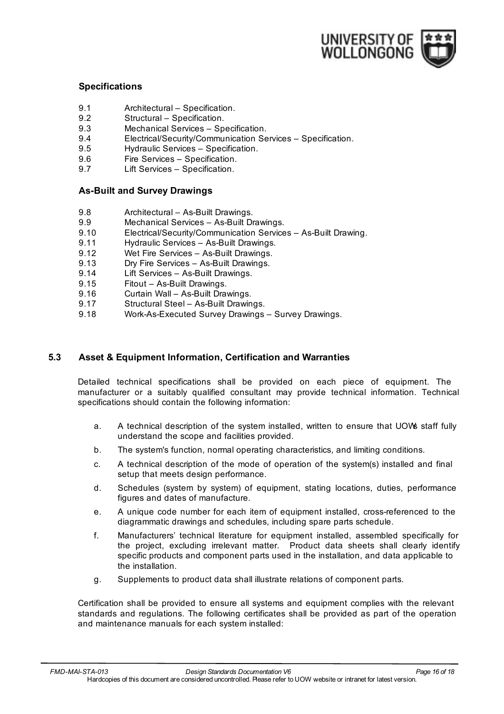

#### **Specifications**

- 9.1 Architectural Specification.
- 9.2 Structural Specification.
- 9.3 Mechanical Services Specification.
- 9.4 Electrical/Security/Communication Services Specification.
- 9.5 Hydraulic Services Specification.
- 9.6 Fire Services Specification.
- 9.7 Lift Services Specification.

### **As-Built and Survey Drawings**

- 9.8 Architectural As-Built Drawings.
- 9.9 Mechanical Services As-Built Drawings.
- 9.10 Electrical/Security/Communication Services As-Built Drawing.
- 9.11 Hydraulic Services As-Built Drawings.
- 9.12 Wet Fire Services As-Built Drawings.
- 9.13 Dry Fire Services As-Built Drawings.
- 9.14 Lift Services As-Built Drawings.
- 9.15 Fitout As-Built Drawings.
- 9.16 Curtain Wall As-Built Drawings.
- 9.17 Structural Steel As-Built Drawings.
- <span id="page-15-0"></span>9.18 Work-As-Executed Survey Drawings – Survey Drawings.

# **5.3 Asset & Equipment Information, Certification and Warranties**

Detailed technical specifications shall be provided on each piece of equipment. The manufacturer or a suitably qualified consultant may provide technical information. Technical specifications should contain the following information:

- a. A technical description of the system installed, written to ensure that UOWs staff fully understand the scope and facilities provided.
- b. The system's function, normal operating characteristics, and limiting conditions.
- c. A technical description of the mode of operation of the system(s) installed and final setup that meets design performance.
- d. Schedules (system by system) of equipment, stating locations, duties, performance figures and dates of manufacture.
- e. A unique code number for each item of equipment installed, cross-referenced to the diagrammatic drawings and schedules, including spare parts schedule.
- f. Manufacturers' technical literature for equipment installed, assembled specifically for the project, excluding irrelevant matter. Product data sheets shall clearly identify specific products and component parts used in the installation, and data applicable to the installation.
- g. Supplements to product data shall illustrate relations of component parts.

Certification shall be provided to ensure all systems and equipment complies with the relevant standards and regulations. The following certificates shall be provided as part of the operation and maintenance manuals for each system installed: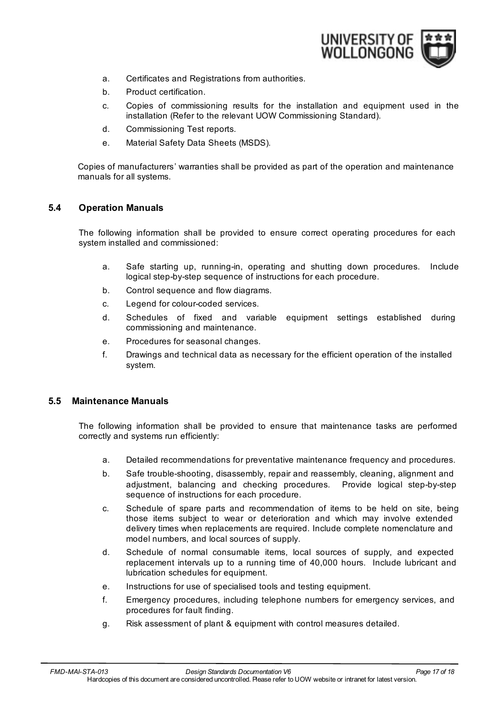

- a. Certificates and Registrations from authorities.
- b. Product certification.
- c. Copies of commissioning results for the installation and equipment used in the installation (Refer to the relevant UOW Commissioning Standard).
- d. Commissioning Test reports.
- e. Material Safety Data Sheets (MSDS).

<span id="page-16-0"></span>Copies of manufacturers' warranties shall be provided as part of the operation and maintenance manuals for all systems.

### **5.4 Operation Manuals**

The following information shall be provided to ensure correct operating procedures for each system installed and commissioned:

- a. Safe starting up, running-in, operating and shutting down procedures. Include logical step-by-step sequence of instructions for each procedure.
- b. Control sequence and flow diagrams.
- c. Legend for colour-coded services.
- d. Schedules of fixed and variable equipment settings established during commissioning and maintenance.
- e. Procedures for seasonal changes.
- f. Drawings and technical data as necessary for the efficient operation of the installed system.

### <span id="page-16-1"></span>**5.5 Maintenance Manuals**

The following information shall be provided to ensure that maintenance tasks are performed correctly and systems run efficiently:

- a. Detailed recommendations for preventative maintenance frequency and procedures.
- b. Safe trouble-shooting, disassembly, repair and reassembly, cleaning, alignment and adjustment, balancing and checking procedures. Provide logical step-by-step sequence of instructions for each procedure.
- c. Schedule of spare parts and recommendation of items to be held on site, being those items subject to wear or deterioration and which may involve extended delivery times when replacements are required. Include complete nomenclature and model numbers, and local sources of supply.
- d. Schedule of normal consumable items, local sources of supply, and expected replacement intervals up to a running time of 40,000 hours. Include lubricant and lubrication schedules for equipment.
- e. Instructions for use of specialised tools and testing equipment.
- f. Emergency procedures, including telephone numbers for emergency services, and procedures for fault finding.
- g. Risk assessment of plant & equipment with control measures detailed.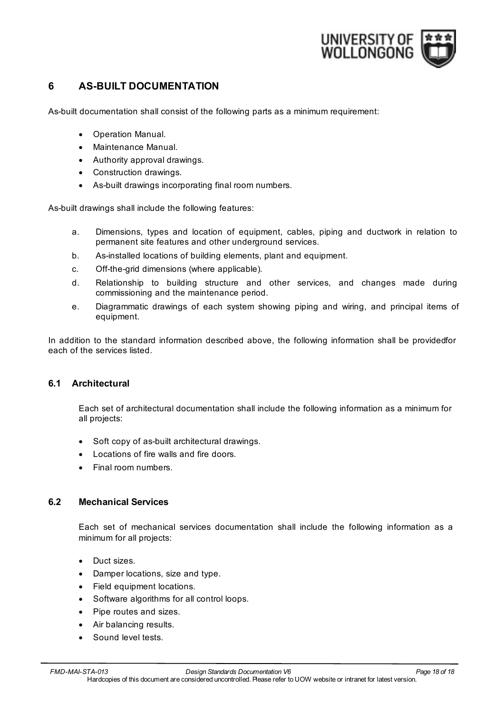

# <span id="page-17-0"></span>**6 AS-BUILT DOCUMENTATION**

As-built documentation shall consist of the following parts as a minimum requirement:

- Operation Manual.
- Maintenance Manual.
- Authority approval drawings.
- Construction drawings.
- As-built drawings incorporating final room numbers.

As-built drawings shall include the following features:

- a. Dimensions, types and location of equipment, cables, piping and ductwork in relation to permanent site features and other underground services.
- b. As-installed locations of building elements, plant and equipment.
- c. Off-the-grid dimensions (where applicable).
- d. Relationship to building structure and other services, and changes made during commissioning and the maintenance period.
- e. Diagrammatic drawings of each system showing piping and wiring, and principal items of equipment.

In addition to the standard information described above, the following information shall be providedfor each of the services listed.

### <span id="page-17-1"></span>**6.1 Architectural**

Each set of architectural documentation shall include the following information as a minimum for all projects:

- Soft copy of as-built architectural drawings.
- Locations of fire walls and fire doors.
- <span id="page-17-2"></span>Final room numbers.

### **6.2 Mechanical Services**

Each set of mechanical services documentation shall include the following information as a minimum for all projects:

- Duct sizes.
- Damper locations, size and type.
- Field equipment locations.
- Software algorithms for all control loops.
- Pipe routes and sizes.
- Air balancing results.
- Sound level tests.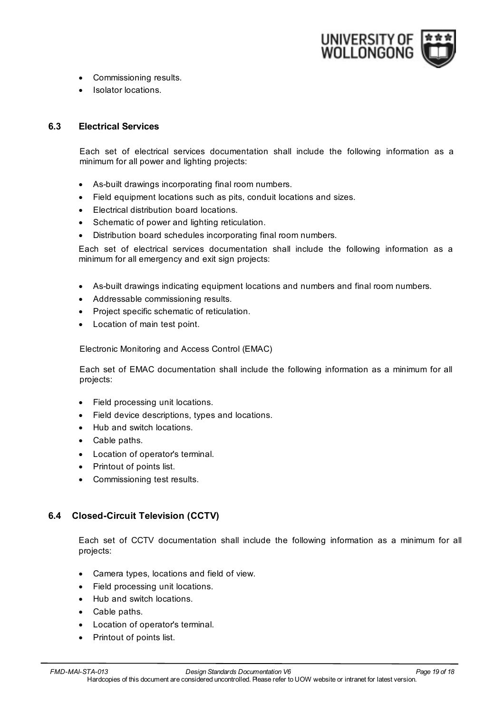

- Commissioning results.
- <span id="page-18-0"></span>Isolator locations.

### **6.3 Electrical Services**

Each set of electrical services documentation shall include the following information as a minimum for all power and lighting projects:

- As-built drawings incorporating final room numbers.
- Field equipment locations such as pits, conduit locations and sizes.
- Electrical distribution board locations.
- Schematic of power and lighting reticulation.
- Distribution board schedules incorporating final room numbers.

Each set of electrical services documentation shall include the following information as a minimum for all emergency and exit sign projects:

- As-built drawings indicating equipment locations and numbers and final room numbers.
- Addressable commissioning results.
- Project specific schematic of reticulation.
- Location of main test point.

Electronic Monitoring and Access Control (EMAC)

Each set of EMAC documentation shall include the following information as a minimum for all projects:

- Field processing unit locations.
- Field device descriptions, types and locations.
- Hub and switch locations.
- Cable paths.
- Location of operator's terminal.
- Printout of points list.
- Commissioning test results.

#### <span id="page-18-1"></span>**6.4 Closed-Circuit Television (CCTV)**

Each set of CCTV documentation shall include the following information as a minimum for all projects:

- Camera types, locations and field of view.
- Field processing unit locations.
- Hub and switch locations.
- Cable paths.
- Location of operator's terminal.
- Printout of points list.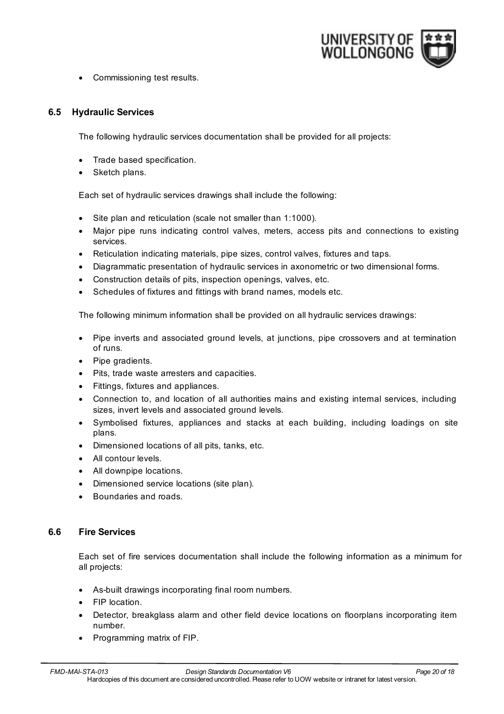

Commissioning test results.

#### <span id="page-19-0"></span>**6.5 Hydraulic Services**

The following hydraulic services documentation shall be provided for all projects:

- Trade based specification.
- Sketch plans.

Each set of hydraulic services drawings shall include the following:

- Site plan and reticulation (scale not smaller than 1:1000).
- Major pipe runs indicating control valves, meters, access pits and connections to existing services.
- Reticulation indicating materials, pipe sizes, control valves, fixtures and taps.
- Diagrammatic presentation of hydraulic services in axonometric or two dimensional forms.
- Construction details of pits, inspection openings, valves, etc.
- Schedules of fixtures and fittings with brand names, models etc.

The following minimum information shall be provided on all hydraulic services drawings:

- Pipe inverts and associated ground levels, at junctions, pipe crossovers and at termination of runs.
- Pipe gradients.
- Pits, trade waste arresters and capacities.
- Fittings, fixtures and appliances.
- Connection to, and location of all authorities mains and existing internal services, including sizes, invert levels and associated ground levels.
- Symbolised fixtures, appliances and stacks at each building, including loadings on site plans.
- Dimensioned locations of all pits, tanks, etc.
- All contour levels.
- All downpipe locations.
- Dimensioned service locations (site plan).
- <span id="page-19-1"></span>Boundaries and roads.

#### **6.6 Fire Services**

Each set of fire services documentation shall include the following information as a minimum for all projects:

- As-built drawings incorporating final room numbers.
- FIP location.
- Detector, breakglass alarm and other field device locations on floorplans incorporating item number.
- Programming matrix of FIP.